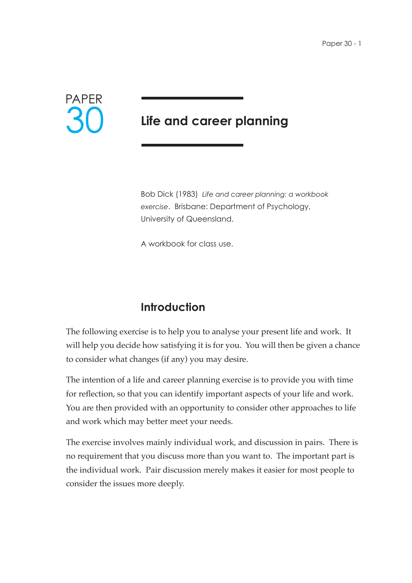

# **Life and career planning**

Bob Dick (1983) *Life and career planning: a workbook exercise*. Brisbane: Department of Psychology, University of Queensland.

A workbook for class use.

# **Introduction**

The following exercise is to help you to analyse your present life and work. It will help you decide how satisfying it is for you. You will then be given a chance to consider what changes (if any) you may desire.

The intention of a life and career planning exercise is to provide you with time for reflection, so that you can identify important aspects of your life and work. You are then provided with an opportunity to consider other approaches to life and work which may better meet your needs.

The exercise involves mainly individual work, and discussion in pairs. There is no requirement that you discuss more than you want to. The important part is the individual work. Pair discussion merely makes it easier for most people to consider the issues more deeply.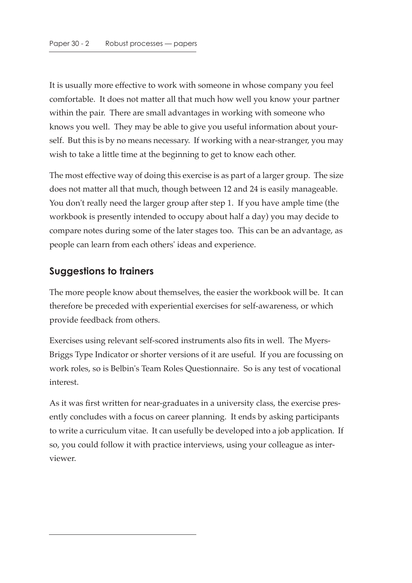It is usually more effective to work with someone in whose company you feel comfortable. It does not matter all that much how well you know your partner within the pair. There are small advantages in working with someone who knows you well. They may be able to give you useful information about yourself. But this is by no means necessary. If working with a near-stranger, you may wish to take a little time at the beginning to get to know each other.

The most effective way of doing this exercise is as part of a larger group. The size does not matter all that much, though between 12 and 24 is easily manageable. You don't really need the larger group after step 1. If you have ample time (the workbook is presently intended to occupy about half a day) you may decide to compare notes during some of the later stages too. This can be an advantage, as people can learn from each others' ideas and experience.

## **Suggestions to trainers**

The more people know about themselves, the easier the workbook will be. It can therefore be preceded with experiential exercises for self-awareness, or which provide feedback from others.

Exercises using relevant self-scored instruments also fits in well. The Myers-Briggs Type Indicator or shorter versions of it are useful. If you are focussing on work roles, so is Belbin's Team Roles Questionnaire. So is any test of vocational interest.

As it was first written for near-graduates in a university class, the exercise presently concludes with a focus on career planning. It ends by asking participants to write a curriculum vitae. It can usefully be developed into a job application. If so, you could follow it with practice interviews, using your colleague as interviewer.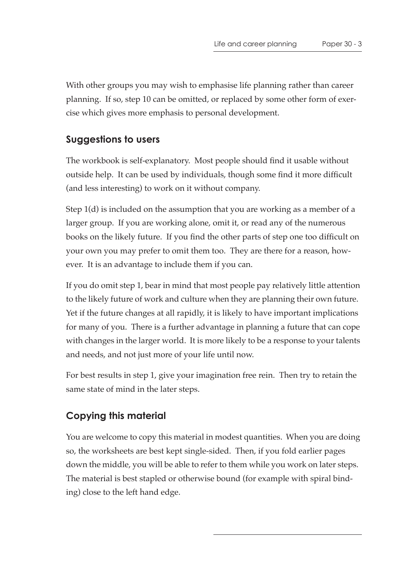With other groups you may wish to emphasise life planning rather than career planning. If so, step 10 can be omitted, or replaced by some other form of exercise which gives more emphasis to personal development.

# **Suggestions to users**

The workbook is self-explanatory. Most people should find it usable without outside help. It can be used by individuals, though some find it more difficult (and less interesting) to work on it without company.

Step 1(d) is included on the assumption that you are working as a member of a larger group. If you are working alone, omit it, or read any of the numerous books on the likely future. If you find the other parts of step one too difficult on your own you may prefer to omit them too. They are there for a reason, however. It is an advantage to include them if you can.

If you do omit step 1, bear in mind that most people pay relatively little attention to the likely future of work and culture when they are planning their own future. Yet if the future changes at all rapidly, it is likely to have important implications for many of you. There is a further advantage in planning a future that can cope with changes in the larger world. It is more likely to be a response to your talents and needs, and not just more of your life until now.

For best results in step 1, give your imagination free rein. Then try to retain the same state of mind in the later steps.

# **Copying this material**

You are welcome to copy this material in modest quantities. When you are doing so, the worksheets are best kept single-sided. Then, if you fold earlier pages down the middle, you will be able to refer to them while you work on later steps. The material is best stapled or otherwise bound (for example with spiral binding) close to the left hand edge.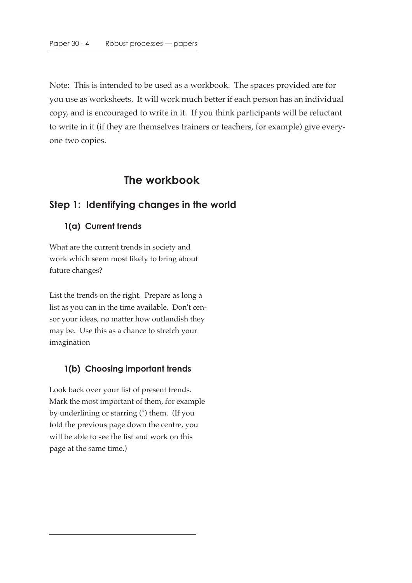Note: This is intended to be used as a workbook. The spaces provided are for you use as worksheets. It will work much better if each person has an individual copy, and is encouraged to write in it. If you think participants will be reluctant to write in it (if they are themselves trainers or teachers, for example) give everyone two copies.

# **The workbook**

#### **Step 1: Identifying changes in the world**

#### **1(a) Current trends**

What are the current trends in society and work which seem most likely to bring about future changes?

List the trends on the right. Prepare as long a list as you can in the time available. Don't censor your ideas, no matter how outlandish they may be. Use this as a chance to stretch your imagination

#### **1(b) Choosing important trends**

Look back over your list of present trends. Mark the most important of them, for example by underlining or starring (\*) them. (If you fold the previous page down the centre, you will be able to see the list and work on this page at the same time.)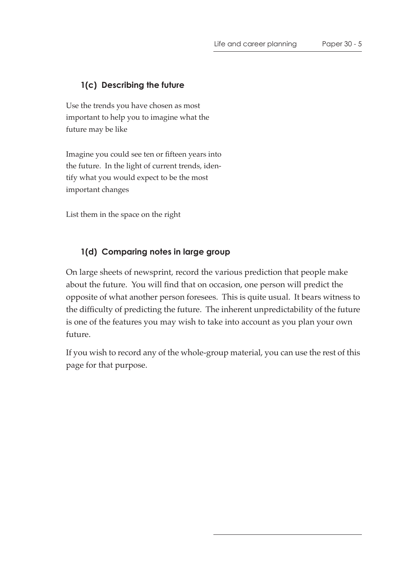#### **1(c) Describing the future**

Use the trends you have chosen as most important to help you to imagine what the future may be like

Imagine you could see ten or fifteen years into the future. In the light of current trends, identify what you would expect to be the most important changes

List them in the space on the right

#### **1(d) Comparing notes in large group**

On large sheets of newsprint, record the various prediction that people make about the future. You will find that on occasion, one person will predict the opposite of what another person foresees. This is quite usual. It bears witness to the difficulty of predicting the future. The inherent unpredictability of the future is one of the features you may wish to take into account as you plan your own future.

If you wish to record any of the whole-group material, you can use the rest of this page for that purpose.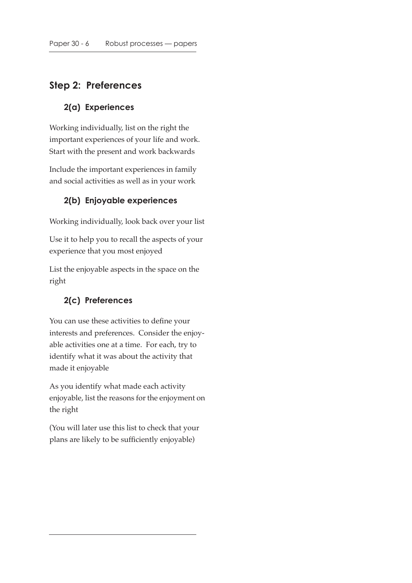# **Step 2: Preferences**

#### **2(a) Experiences**

Working individually, list on the right the important experiences of your life and work. Start with the present and work backwards

Include the important experiences in family and social activities as well as in your work

#### **2(b) Enjoyable experiences**

Working individually, look back over your list

Use it to help you to recall the aspects of your experience that you most enjoyed

List the enjoyable aspects in the space on the right

#### **2(c) Preferences**

You can use these activities to define your interests and preferences. Consider the enjoyable activities one at a time. For each, try to identify what it was about the activity that made it enjoyable

As you identify what made each activity enjoyable, list the reasons for the enjoyment on the right

(You will later use this list to check that your plans are likely to be sufficiently enjoyable)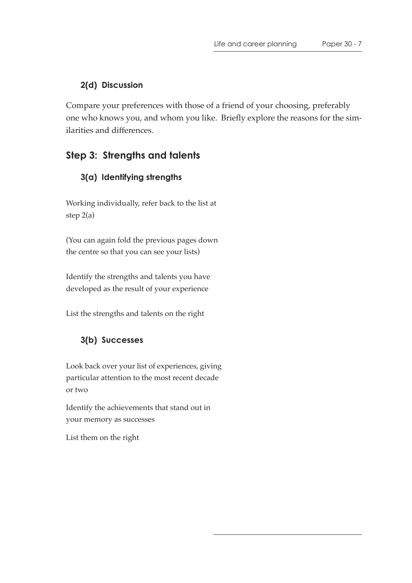#### **2(d) Discussion**

Compare your preferences with those of a friend of your choosing, preferably one who knows you, and whom you like. Briefly explore the reasons for the similarities and differences.

# **Step 3: Strengths and talents**

### **3(a) Identifying strengths**

Working individually, refer back to the list at step 2(a)

(You can again fold the previous pages down the centre so that you can see your lists)

Identify the strengths and talents you have developed as the result of your experience

List the strengths and talents on the right

## **3(b) Successes**

Look back over your list of experiences, giving particular attention to the most recent decade or two

Identify the achievements that stand out in your memory as successes

List them on the right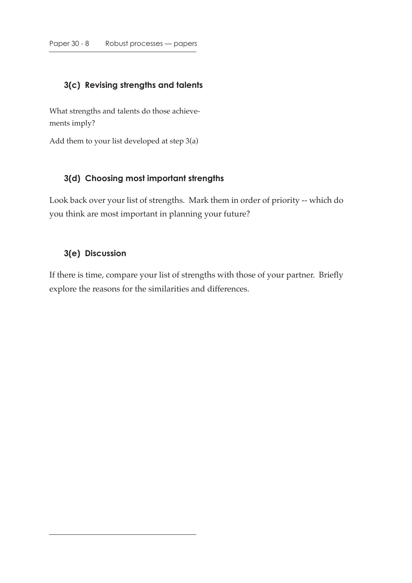# **3(c) Revising strengths and talents**

What strengths and talents do those achievements imply?

Add them to your list developed at step 3(a)

#### **3(d) Choosing most important strengths**

Look back over your list of strengths. Mark them in order of priority -- which do you think are most important in planning your future?

#### **3(e) Discussion**

If there is time, compare your list of strengths with those of your partner. Briefly explore the reasons for the similarities and differences.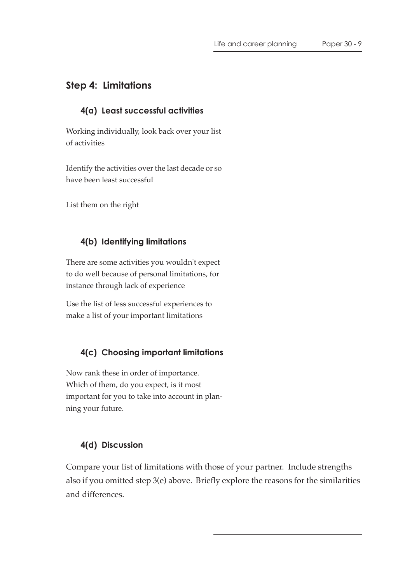# **Step 4: Limitations**

#### **4(a) Least successful activities**

Working individually, look back over your list of activities

Identify the activities over the last decade or so have been least successful

List them on the right

#### **4(b) Identifying limitations**

There are some activities you wouldn't expect to do well because of personal limitations, for instance through lack of experience

Use the list of less successful experiences to make a list of your important limitations

#### **4(c) Choosing important limitations**

Now rank these in order of importance. Which of them, do you expect, is it most important for you to take into account in planning your future.

#### **4(d) Discussion**

Compare your list of limitations with those of your partner. Include strengths also if you omitted step 3(e) above. Briefly explore the reasons for the similarities and differences.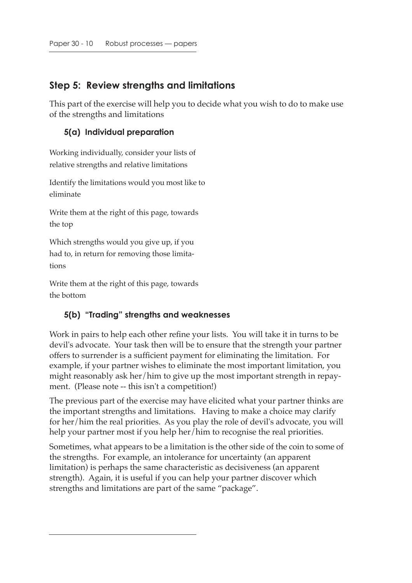# **Step 5: Review strengths and limitations**

This part of the exercise will help you to decide what you wish to do to make use of the strengths and limitations

#### **5(a) Individual preparation**

Working individually, consider your lists of relative strengths and relative limitations

Identify the limitations would you most like to eliminate

Write them at the right of this page, towards the top

Which strengths would you give up, if you had to, in return for removing those limitations

Write them at the right of this page, towards the bottom

#### **5(b) "Trading" strengths and weaknesses**

Work in pairs to help each other refine your lists. You will take it in turns to be devil's advocate. Your task then will be to ensure that the strength your partner offers to surrender is a sufficient payment for eliminating the limitation. For example, if your partner wishes to eliminate the most important limitation, you might reasonably ask her/him to give up the most important strength in repayment. (Please note -- this isn't a competition!)

The previous part of the exercise may have elicited what your partner thinks are the important strengths and limitations. Having to make a choice may clarify for her/him the real priorities. As you play the role of devil's advocate, you will help your partner most if you help her/him to recognise the real priorities.

Sometimes, what appears to be a limitation is the other side of the coin to some of the strengths. For example, an intolerance for uncertainty (an apparent limitation) is perhaps the same characteristic as decisiveness (an apparent strength). Again, it is useful if you can help your partner discover which strengths and limitations are part of the same "package".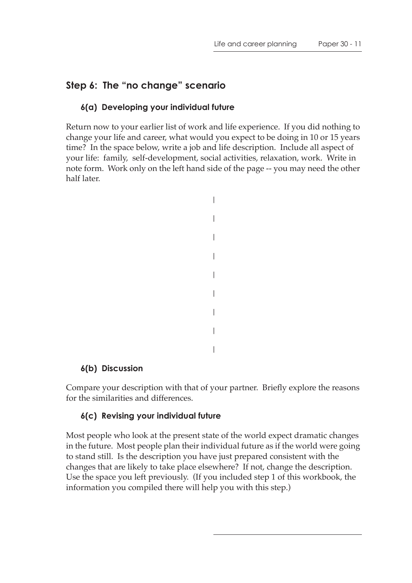# **Step 6: The "no change" scenario**

#### **6(a) Developing your individual future**

Return now to your earlier list of work and life experience. If you did nothing to change your life and career, what would you expect to be doing in 10 or 15 years time? In the space below, write a job and life description. Include all aspect of your life: family, self-development, social activities, relaxation, work. Write in note form. Work only on the left hand side of the page -- you may need the other half later.

```
|
|
|
|
|
|
|
|
|
```
#### **6(b) Discussion**

Compare your description with that of your partner. Briefly explore the reasons for the similarities and differences.

#### **6(c) Revising your individual future**

Most people who look at the present state of the world expect dramatic changes in the future. Most people plan their individual future as if the world were going to stand still. Is the description you have just prepared consistent with the changes that are likely to take place elsewhere? If not, change the description. Use the space you left previously. (If you included step 1 of this workbook, the information you compiled there will help you with this step.)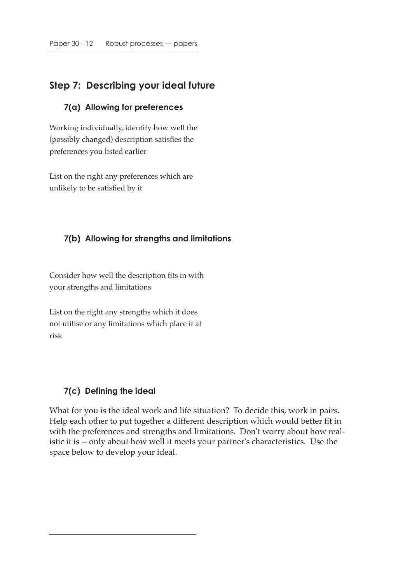# **Step 7: Describing your ideal future**

#### **7(a) Allowing for preferences**

Working individually, identify how well the (possibly changed) description satisfies the preferences you listed earlier

List on the right any preferences which are unlikely to be satisfied by it

#### **7(b) Allowing for strengths and limitations**

Consider how well the description fits in with your strengths and limitations

List on the right any strengths which it does not utilise or any limitations which place it at risk

#### **7(c) Defining the ideal**

What for you is the ideal work and life situation? To decide this, work in pairs. Help each other to put together a different description which would better fit in with the preferences and strengths and limitations. Don't worry about how realistic it is -- only about how well it meets your partner's characteristics. Use the space below to develop your ideal.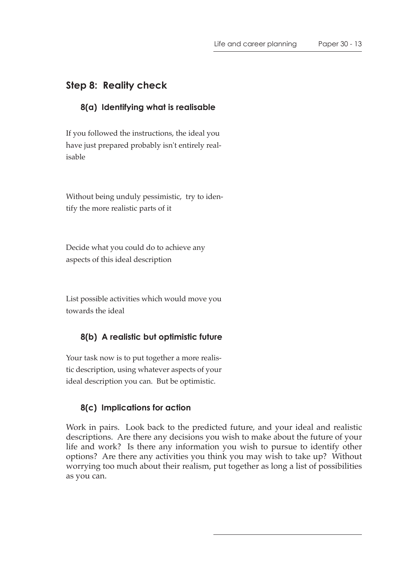# **Step 8: Reality check**

#### **8(a) Identifying what is realisable**

If you followed the instructions, the ideal you have just prepared probably isn't entirely realisable

Without being unduly pessimistic, try to identify the more realistic parts of it

Decide what you could do to achieve any aspects of this ideal description

List possible activities which would move you towards the ideal

#### **8(b) A realistic but optimistic future**

Your task now is to put together a more realistic description, using whatever aspects of your ideal description you can. But be optimistic.

#### **8(c) Implications for action**

Work in pairs. Look back to the predicted future, and your ideal and realistic descriptions. Are there any decisions you wish to make about the future of your life and work? Is there any information you wish to pursue to identify other options? Are there any activities you think you may wish to take up? Without worrying too much about their realism, put together as long a list of possibilities as you can.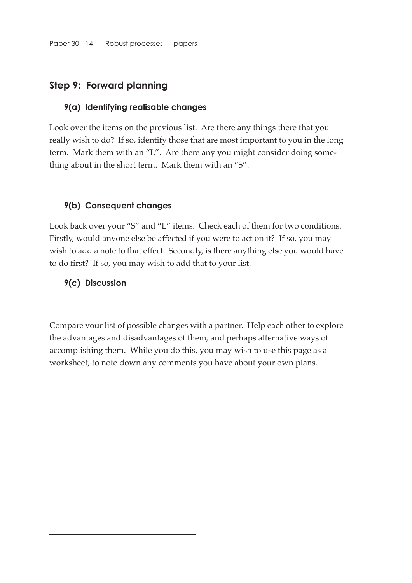## **Step 9: Forward planning**

#### **9(a) Identifying realisable changes**

Look over the items on the previous list. Are there any things there that you really wish to do? If so, identify those that are most important to you in the long term. Mark them with an "L". Are there any you might consider doing something about in the short term. Mark them with an "S".

#### **9(b) Consequent changes**

Look back over your "S" and "L" items. Check each of them for two conditions. Firstly, would anyone else be affected if you were to act on it? If so, you may wish to add a note to that effect. Secondly, is there anything else you would have to do first? If so, you may wish to add that to your list.

#### **9(c) Discussion**

Compare your list of possible changes with a partner. Help each other to explore the advantages and disadvantages of them, and perhaps alternative ways of accomplishing them. While you do this, you may wish to use this page as a worksheet, to note down any comments you have about your own plans.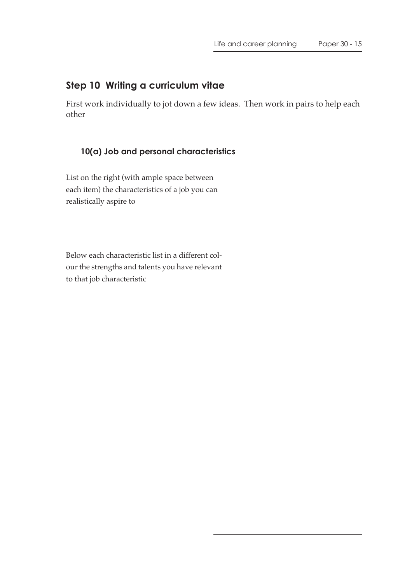# **Step 10 Writing a curriculum vitae**

First work individually to jot down a few ideas. Then work in pairs to help each other

### **10(a) Job and personal characteristics**

List on the right (with ample space between each item) the characteristics of a job you can realistically aspire to

Below each characteristic list in a different colour the strengths and talents you have relevant to that job characteristic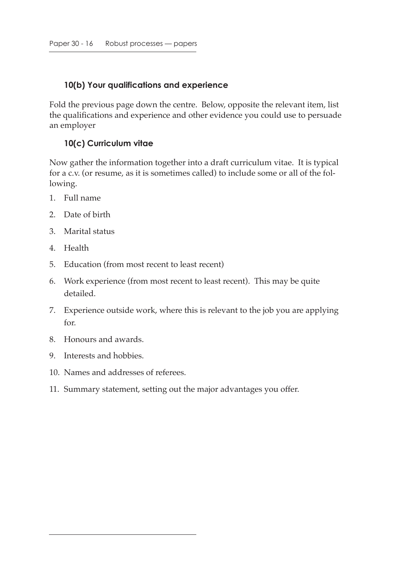#### **10(b) Your qualifications and experience**

Fold the previous page down the centre. Below, opposite the relevant item, list the qualifications and experience and other evidence you could use to persuade an employer

#### **10(c) Curriculum vitae**

Now gather the information together into a draft curriculum vitae. It is typical for a c.v. (or resume, as it is sometimes called) to include some or all of the following.

- 1. Full name
- 2. Date of birth
- 3. Marital status
- 4. Health
- 5. Education (from most recent to least recent)
- 6. Work experience (from most recent to least recent). This may be quite detailed.
- 7. Experience outside work, where this is relevant to the job you are applying for.
- 8. Honours and awards.
- 9. Interests and hobbies.
- 10. Names and addresses of referees.
- 11. Summary statement, setting out the major advantages you offer.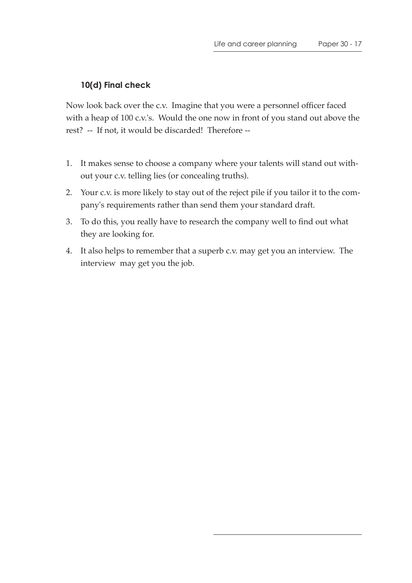### **10(d) Final check**

Now look back over the c.v. Imagine that you were a personnel officer faced with a heap of 100 c.v.'s. Would the one now in front of you stand out above the rest? -- If not, it would be discarded! Therefore --

- 1. It makes sense to choose a company where your talents will stand out without your c.v. telling lies (or concealing truths).
- 2. Your c.v. is more likely to stay out of the reject pile if you tailor it to the company's requirements rather than send them your standard draft.
- 3. To do this, you really have to research the company well to find out what they are looking for.
- 4. It also helps to remember that a superb c.v. may get you an interview. The interview may get you the job.